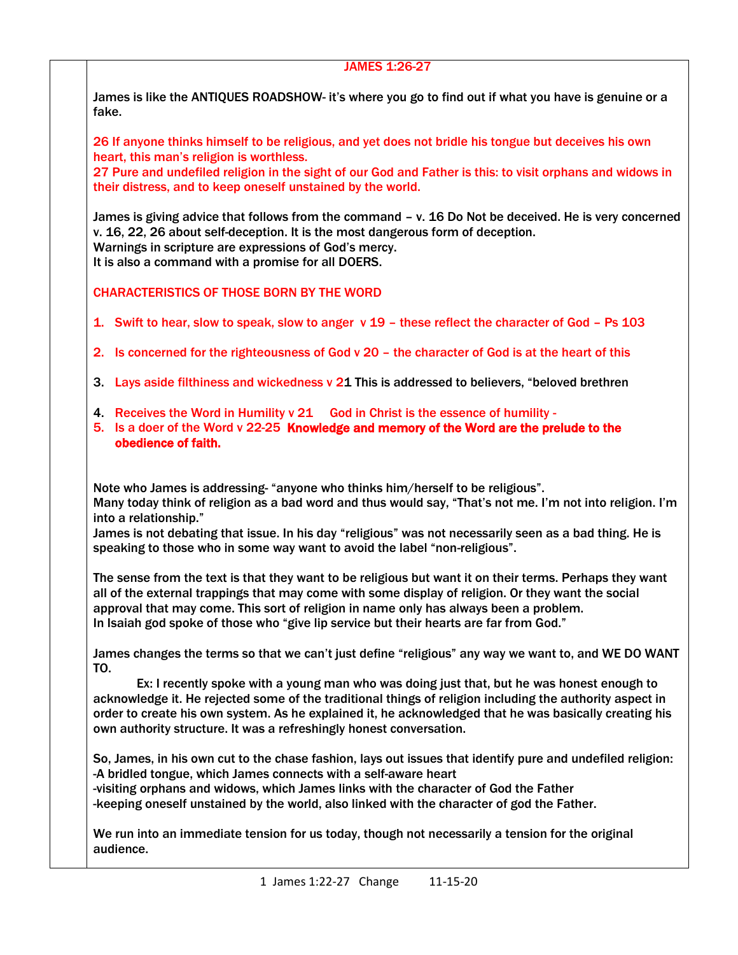# JAMES 1:26-27

James is like the ANTIQUES ROADSHOW- it's where you go to find out if what you have is genuine or a fake.

26 If anyone thinks himself to be religious, and yet does not bridle his tongue but deceives his own heart, this man's religion is worthless.

27 Pure and undefiled religion in the sight of our God and Father is this: to visit orphans and widows in their distress, and to keep oneself unstained by the world.

James is giving advice that follows from the command – v. 16 Do Not be deceived. He is very concerned v. 16, 22, 26 about self-deception. It is the most dangerous form of deception. Warnings in scripture are expressions of God's mercy.

It is also a command with a promise for all DOERS.

# CHARACTERISTICS OF THOSE BORN BY THE WORD

- 1. Swift to hear, slow to speak, slow to anger v 19 these reflect the character of God Ps 103
- 2. Is concerned for the righteousness of God v 20 the character of God is at the heart of this
- 3. Lays aside filthiness and wickedness v 21 This is addressed to believers, "beloved brethren
- 4. Receives the Word in Humility v 21 God in Christ is the essence of humility -
- 5. Is a doer of the Word v 22-25 Knowledge and memory of the Word are the prelude to the obedience of faith.

Note who James is addressing- "anyone who thinks him/herself to be religious". Many today think of religion as a bad word and thus would say, "That's not me. I'm not into religion. I'm into a relationship."

James is not debating that issue. In his day "religious" was not necessarily seen as a bad thing. He is speaking to those who in some way want to avoid the label "non-religious".

The sense from the text is that they want to be religious but want it on their terms. Perhaps they want all of the external trappings that may come with some display of religion. Or they want the social approval that may come. This sort of religion in name only has always been a problem. In Isaiah god spoke of those who "give lip service but their hearts are far from God."

James changes the terms so that we can't just define "religious" any way we want to, and WE DO WANT TO.

Ex: I recently spoke with a young man who was doing just that, but he was honest enough to acknowledge it. He rejected some of the traditional things of religion including the authority aspect in order to create his own system. As he explained it, he acknowledged that he was basically creating his own authority structure. It was a refreshingly honest conversation.

So, James, in his own cut to the chase fashion, lays out issues that identify pure and undefiled religion: -A bridled tongue, which James connects with a self-aware heart -visiting orphans and widows, which James links with the character of God the Father -keeping oneself unstained by the world, also linked with the character of god the Father.

We run into an immediate tension for us today, though not necessarily a tension for the original audience.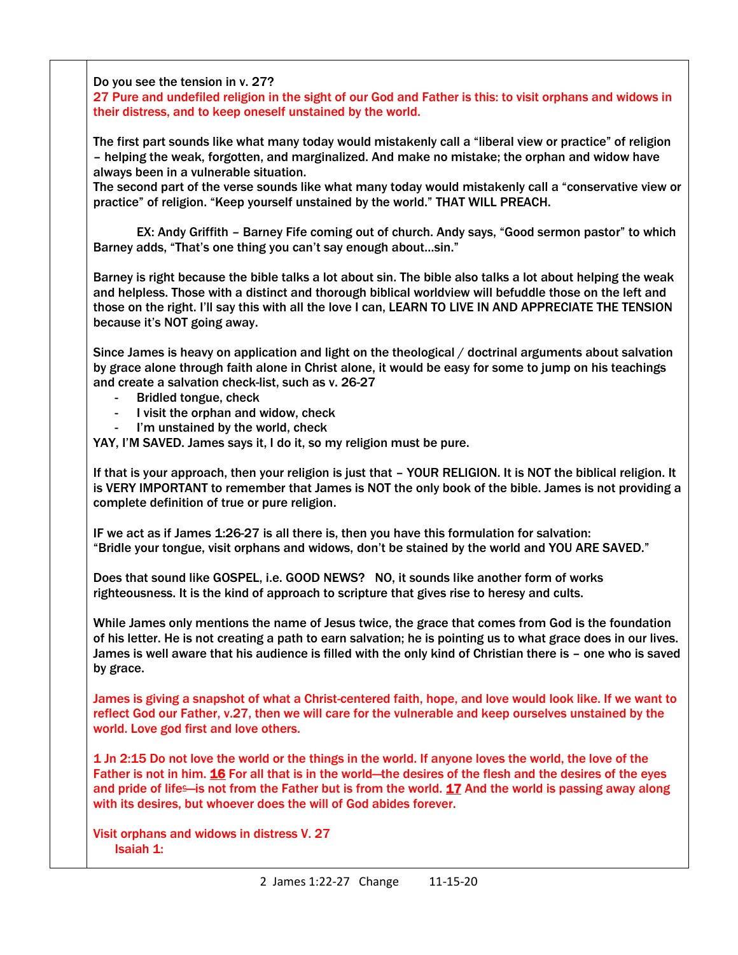Do you see the tension in v. 27?

27 Pure and undefiled religion in the sight of our God and Father is this: to visit orphans and widows in their distress, and to keep oneself unstained by the world.

The first part sounds like what many today would mistakenly call a "liberal view or practice" of religion – helping the weak, forgotten, and marginalized. And make no mistake; the orphan and widow have always been in a vulnerable situation.

The second part of the verse sounds like what many today would mistakenly call a "conservative view or practice" of religion. "Keep yourself unstained by the world." THAT WILL PREACH.

EX: Andy Griffith – Barney Fife coming out of church. Andy says, "Good sermon pastor" to which Barney adds, "That's one thing you can't say enough about…sin."

Barney is right because the bible talks a lot about sin. The bible also talks a lot about helping the weak and helpless. Those with a distinct and thorough biblical worldview will befuddle those on the left and those on the right. I'll say this with all the love I can, LEARN TO LIVE IN AND APPRECIATE THE TENSION because it's NOT going away.

Since James is heavy on application and light on the theological / doctrinal arguments about salvation by grace alone through faith alone in Christ alone, it would be easy for some to jump on his teachings and create a salvation check-list, such as v. 26-27

- Bridled tongue, check
- I visit the orphan and widow, check
- I'm unstained by the world, check

YAY, I'M SAVED. James says it, I do it, so my religion must be pure.

If that is your approach, then your religion is just that – YOUR RELIGION. It is NOT the biblical religion. It is VERY IMPORTANT to remember that James is NOT the only book of the bible. James is not providing a complete definition of true or pure religion.

IF we act as if James 1:26-27 is all there is, then you have this formulation for salvation: "Bridle your tongue, visit orphans and widows, don't be stained by the world and YOU ARE SAVED."

Does that sound like GOSPEL, i.e. GOOD NEWS? NO, it sounds like another form of works righteousness. It is the kind of approach to scripture that gives rise to heresy and cults.

While James only mentions the name of Jesus twice, the grace that comes from God is the foundation of his letter. He is not creating a path to earn salvation; he is pointing us to what grace does in our lives. James is well aware that his audience is filled with the only kind of Christian there is – one who is saved by grace.

James is giving a snapshot of what a Christ-centered faith, hope, and love would look like. If we want to reflect God our Father, v.27, then we will care for the vulnerable and keep ourselves unstained by the world. Love god first and love others.

1 Jn 2:15 Do not love the world or the things in the world. If anyone loves the world, the love of the Father is not in him. [16](http://biblehub.com/1_john/2-16.htm) For all that is in the world—the desires of the flesh and the desires of the eyes and prid[e](https://biblehub.com/esv/1_john/2.htm#footnotes) of life—is not from the Father but is from the world.  $17$  And the world is passing away along with its desires, but whoever does the will of God abides forever.

Visit orphans and widows in distress V. 27 Isaiah 1: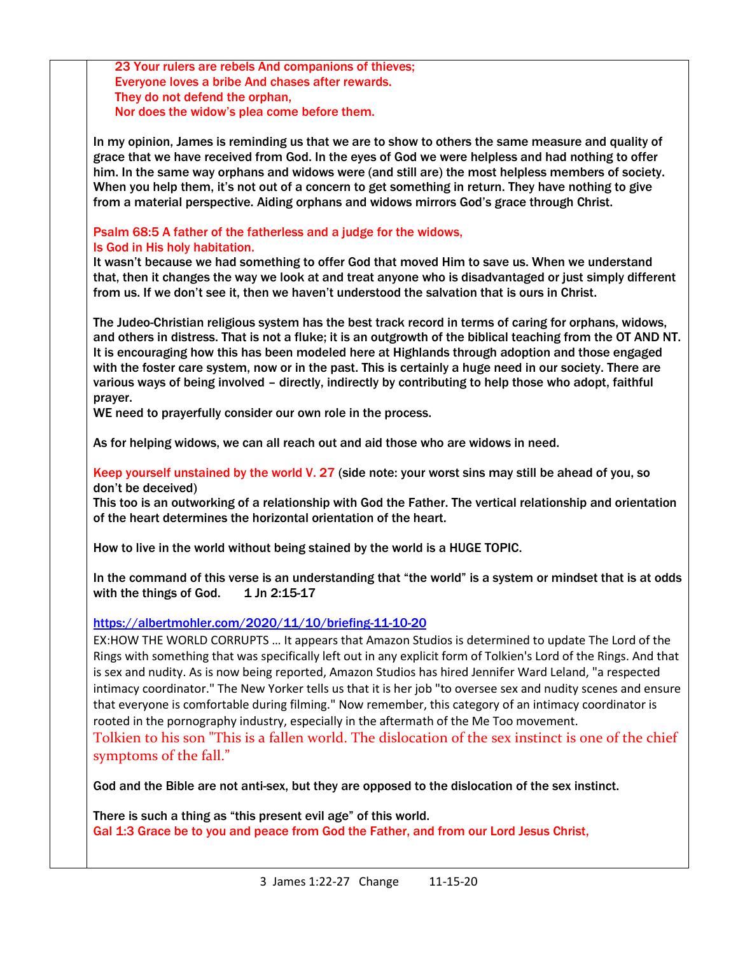23 Your rulers are rebels And companions of thieves; Everyone loves a bribe And chases after rewards. They do not defend the orphan, Nor does the widow's plea come before them.

In my opinion, James is reminding us that we are to show to others the same measure and quality of grace that we have received from God. In the eyes of God we were helpless and had nothing to offer him. In the same way orphans and widows were (and still are) the most helpless members of society. When you help them, it's not out of a concern to get something in return. They have nothing to give from a material perspective. Aiding orphans and widows mirrors God's grace through Christ.

# Psalm 68:5 A father of the fatherless and a judge for the widows, Is God in His holy habitation.

It wasn't because we had something to offer God that moved Him to save us. When we understand that, then it changes the way we look at and treat anyone who is disadvantaged or just simply different from us. If we don't see it, then we haven't understood the salvation that is ours in Christ.

The Judeo-Christian religious system has the best track record in terms of caring for orphans, widows, and others in distress. That is not a fluke; it is an outgrowth of the biblical teaching from the OT AND NT. It is encouraging how this has been modeled here at Highlands through adoption and those engaged with the foster care system, now or in the past. This is certainly a huge need in our society. There are various ways of being involved – directly, indirectly by contributing to help those who adopt, faithful prayer.

WE need to prayerfully consider our own role in the process.

As for helping widows, we can all reach out and aid those who are widows in need.

Keep yourself unstained by the world V. 27 (side note: your worst sins may still be ahead of you, so don't be deceived)

This too is an outworking of a relationship with God the Father. The vertical relationship and orientation of the heart determines the horizontal orientation of the heart.

How to live in the world without being stained by the world is a HUGE TOPIC.

In the command of this verse is an understanding that "the world" is a system or mindset that is at odds with the things of God.  $1$  Jn 2:15-17

<https://albertmohler.com/2020/11/10/briefing-11-10-20>

EX:HOW THE WORLD CORRUPTS … It appears that Amazon Studios is determined to update The Lord of the Rings with something that was specifically left out in any explicit form of Tolkien's Lord of the Rings. And that is sex and nudity. As is now being reported, Amazon Studios has hired Jennifer Ward Leland, "a respected intimacy coordinator." The New Yorker tells us that it is her job "to oversee sex and nudity scenes and ensure that everyone is comfortable during filming." Now remember, this category of an intimacy coordinator is rooted in the pornography industry, especially in the aftermath of the Me Too movement.

Tolkien to his son "This is a fallen world. The dislocation of the sex instinct is one of the chief symptoms of the fall."

God and the Bible are not anti-sex, but they are opposed to the dislocation of the sex instinct.

There is such a thing as "this present evil age" of this world. Gal 1:3 Grace be to you and peace from God the Father, and from our Lord Jesus Christ,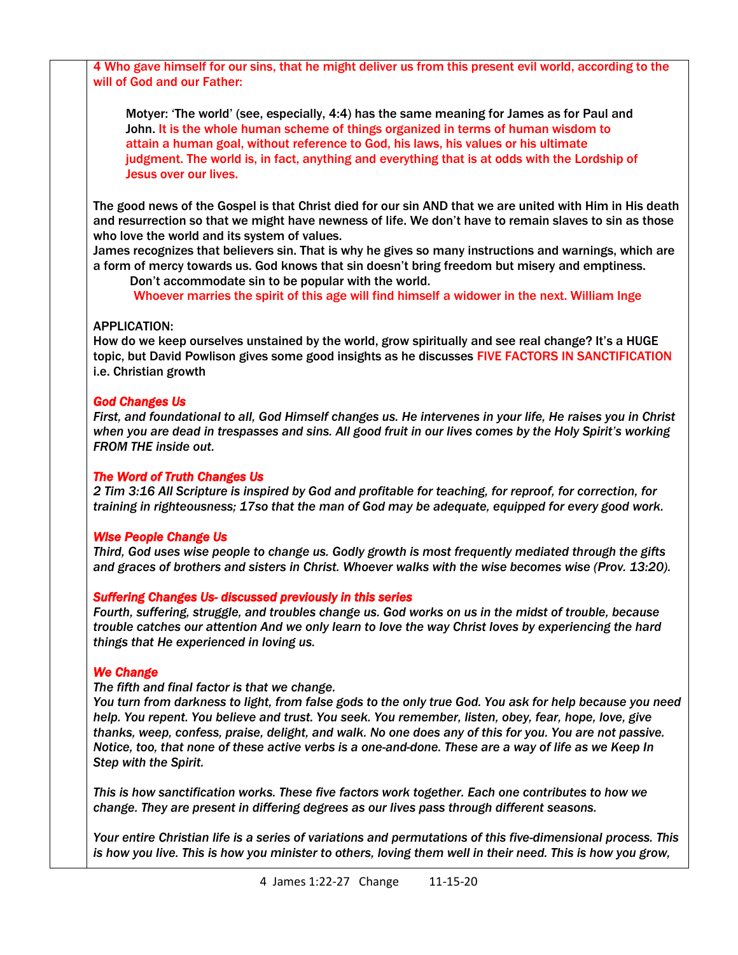4 Who gave himself for our sins, that he might deliver us from this present evil world, according to the will of God and our Father:

Motyer: 'The world' (see, especially, 4:4) has the same meaning for James as for Paul and John. It is the whole human scheme of things organized in terms of human wisdom to attain a human goal, without reference to God, his laws, his values or his ultimate judgment. The world is, in fact, anything and everything that is at odds with the Lordship of Jesus over our lives.

The good news of the Gospel is that Christ died for our sin AND that we are united with Him in His death and resurrection so that we might have newness of life. We don't have to remain slaves to sin as those who love the world and its system of values.

James recognizes that believers sin. That is why he gives so many instructions and warnings, which are a form of mercy towards us. God knows that sin doesn't bring freedom but misery and emptiness.

 Don't accommodate sin to be popular with the world. Whoever marries the spirit of this age will find himself a widower in the next. William Inge

#### APPLICATION:

How do we keep ourselves unstained by the world, grow spiritually and see real change? It's a HUGE topic, but David Powlison gives some good insights as he discusses FIVE FACTORS IN SANCTIFICATION i.e. Christian growth

#### *God Changes Us*

*First, and foundational to all, God Himself changes us. He intervenes in your life, He raises you in Christ when you are dead in trespasses and sins. All good fruit in our lives comes by the Holy Spirit's working FROM THE inside out.* 

#### *The Word of Truth Changes Us*

*2 Tim 3:16 All Scripture is inspired by God and profitable for teaching, for reproof, for correction, for training in righteousness; 17so that the man of God may be adequate, equipped for every good work.*

#### *Wise People Change Us*

*Third, God uses wise people to change us. Godly growth is most frequently mediated through the gifts and graces of brothers and sisters in Christ. Whoever walks with the wise becomes wise (Prov. 13:20).* 

### *Suffering Changes Us- discussed previously in this series*

*Fourth, suffering, struggle, and troubles change us. God works on us in the midst of trouble, because trouble catches our attention And we only learn to love the way Christ loves by experiencing the hard things that He experienced in loving us.*

# *We Change*

*The fifth and final factor is that we change.*

*You turn from darkness to light, from false gods to the only true God. You ask for help because you need help. You repent. You believe and trust. You seek. You remember, listen, obey, fear, hope, love, give thanks, weep, confess, praise, delight, and walk. No one does any of this for you. You are not passive. Notice, too, that none of these active verbs is a one-and-done. These are a way of life as we Keep In Step with the Spirit.*

*This is how sanctification works. These five factors work together. Each one contributes to how we change. They are present in differing degrees as our lives pass through different seasons.* 

*Your entire Christian life is a series of variations and permutations of this five-dimensional process. This is how you live. This is how you minister to others, loving them well in their need. This is how you grow,*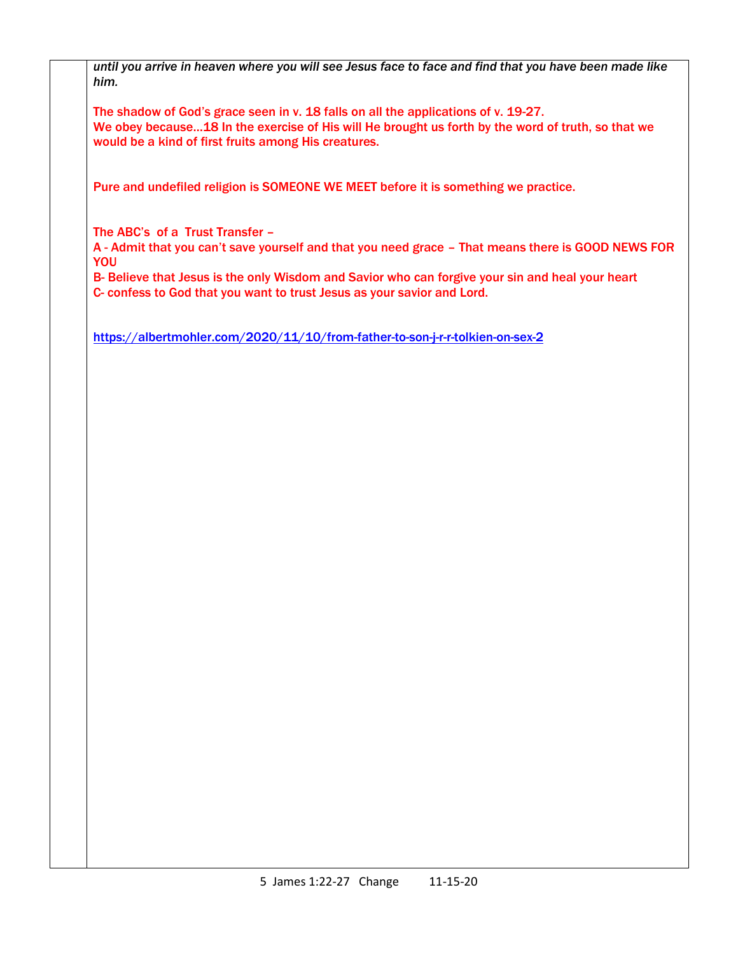*until you arrive in heaven where you will see Jesus face to face and find that you have been made like him.*

The shadow of God's grace seen in v. 18 falls on all the applications of v. 19-27. We obey because...18 In the exercise of His will He brought us forth by the word of truth, so that we would be a kind of first fruits among His creatures.

Pure and undefiled religion is SOMEONE WE MEET before it is something we practice.

The ABC's of a Trust Transfer –

A - Admit that you can't save yourself and that you need grace – That means there is GOOD NEWS FOR **YOU** 

B- Believe that Jesus is the only Wisdom and Savior who can forgive your sin and heal your heart C- confess to God that you want to trust Jesus as your savior and Lord.

<https://albertmohler.com/2020/11/10/from-father-to-son-j-r-r-tolkien-on-sex-2>